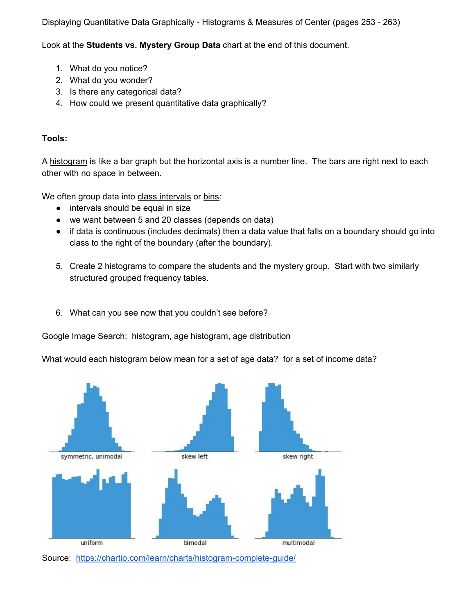Displaying Quantitative Data Graphically - Histograms & Measures of Center (pages 253 - 263)

Look at the **Students vs. Mystery Group Data** chart at the end of this document.

- 1. What do you notice?
- 2. What do you wonder?
- 3. Is there any categorical data?
- 4. How could we present quantitative data graphically?

## **Tools:**

A histogram is like a bar graph but the horizontal axis is a number line. The bars are right next to each other with no space in between.

We often group data into class intervals or bins:

- intervals should be equal in size
- we want between 5 and 20 classes (depends on data)
- if data is continuous (includes decimals) then a data value that falls on a boundary should go into class to the right of the boundary (after the boundary).
- 5. Create 2 histograms to compare the students and the mystery group. Start with two similarly structured grouped frequency tables.
- 6. What can you see now that you couldn't see before?

Google Image Search: histogram, age histogram, age distribution

What would each histogram below mean for a set of age data? for a set of income data?



Source: <https://chartio.com/learn/charts/histogram-complete-guide/>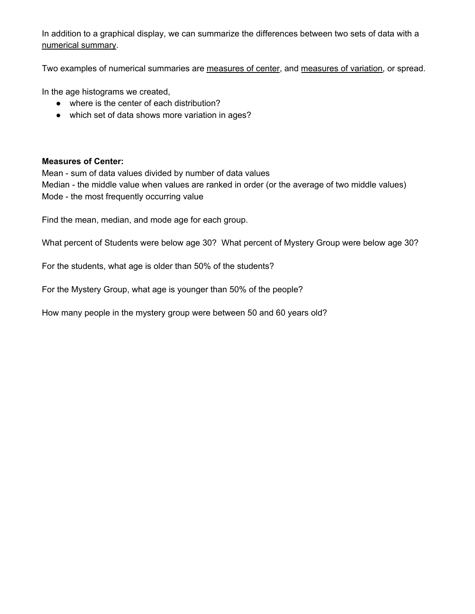In addition to a graphical display, we can summarize the differences between two sets of data with a numerical summary.

Two examples of numerical summaries are measures of center, and measures of variation, or spread.

In the age histograms we created,

- where is the center of each distribution?
- which set of data shows more variation in ages?

## **Measures of Center:**

Mean - sum of data values divided by number of data values Median - the middle value when values are ranked in order (or the average of two middle values) Mode - the most frequently occurring value

Find the mean, median, and mode age for each group.

What percent of Students were below age 30? What percent of Mystery Group were below age 30?

For the students, what age is older than 50% of the students?

For the Mystery Group, what age is younger than 50% of the people?

How many people in the mystery group were between 50 and 60 years old?